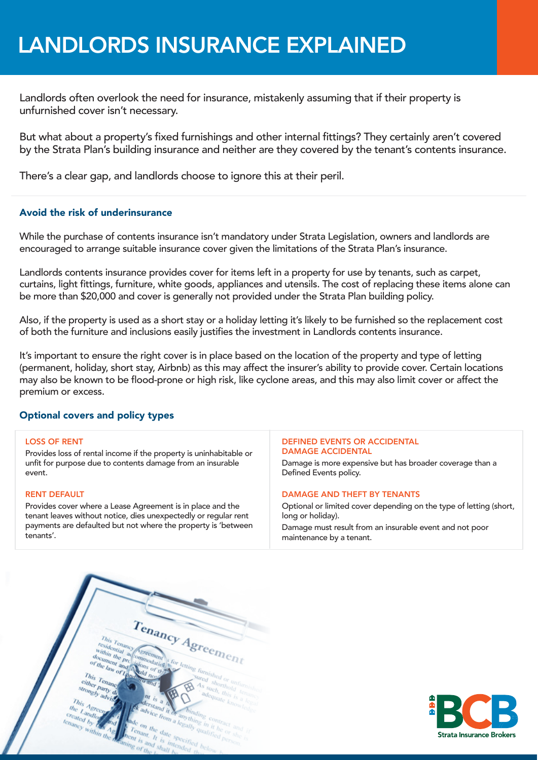# LANDLORDS INSURANCE EXPLAINED

Landlords often overlook the need for insurance, mistakenly assuming that if their property is unfurnished cover isn't necessary.

But what about a property's fixed furnishings and other internal fittings? They certainly aren't covered by the Strata Plan's building insurance and neither are they covered by the tenant's contents insurance.

There's a clear gap, and landlords choose to ignore this at their peril.

# Avoid the risk of underinsurance

While the purchase of contents insurance isn't mandatory under Strata Legislation, owners and landlords are encouraged to arrange suitable insurance cover given the limitations of the Strata Plan's insurance.

Landlords contents insurance provides cover for items left in a property for use by tenants, such as carpet, curtains, light fittings, furniture, white goods, appliances and utensils. The cost of replacing these items alone can be more than \$20,000 and cover is generally not provided under the Strata Plan building policy.

Also, if the property is used as a short stay or a holiday letting it's likely to be furnished so the replacement cost of both the furniture and inclusions easily justifies the investment in Landlords contents insurance.

It's important to ensure the right cover is in place based on the location of the property and type of letting (permanent, holiday, short stay, Airbnb) as this may affect the insurer's ability to provide cover. Certain locations may also be known to be flood-prone or high risk, like cyclone areas, and this may also limit cover or affect the premium or excess.

# Optional covers and policy types

## LOSS OF RENT

Provides loss of rental income if the property is uninhabitable or unfit for purpose due to contents damage from an insurable event.

## RENT DEFAULT

Provides cover where a Lease Agreement is in place and the tenant leaves without notice, dies unexpectedly or regular rent payments are defaulted but not where the property is 'between tenants'.

#### DEFINED EVENTS OR ACCIDENTAL DAMAGE ACCIDENTAL

Damage is more expensive but has broader coverage than a Defined Events policy.

## DAMAGE AND THEFT BY TENANTS

Optional or limited cover depending on the type of letting (short, long or holiday).

Damage must result from an insurable event and not poor maintenance by a tenant.